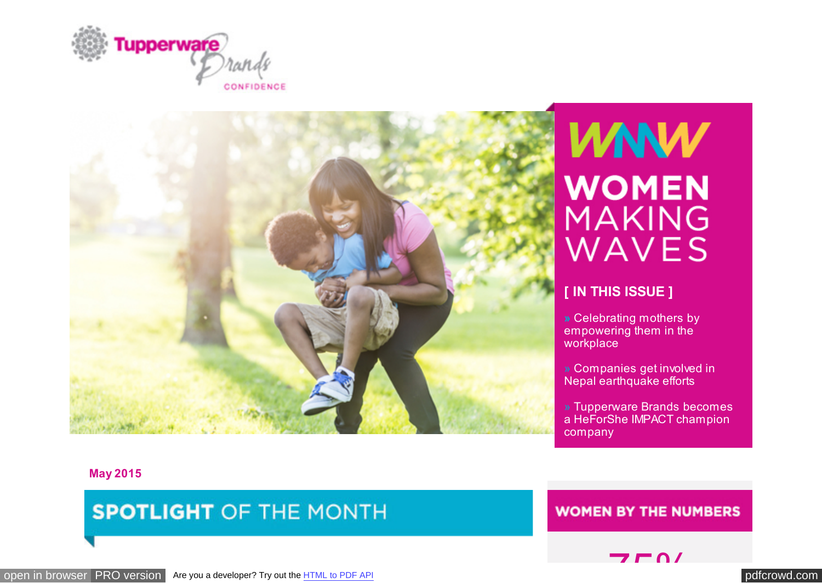<span id="page-0-0"></span>



# **WNW WOMEN MAKING** WAVES

#### **[ IN THIS ISSUE ]**

**»** Celebrating mothers by empowering them in the workplace

» Companies get involved in Nepal earthquake efforts

» Tupperware Brands becomes a HeForShe IMPACT champion company

**May 2015**

**SPOTLIGHT OF THE MONTH** 

**WOMEN BY THE NUMBERS** 

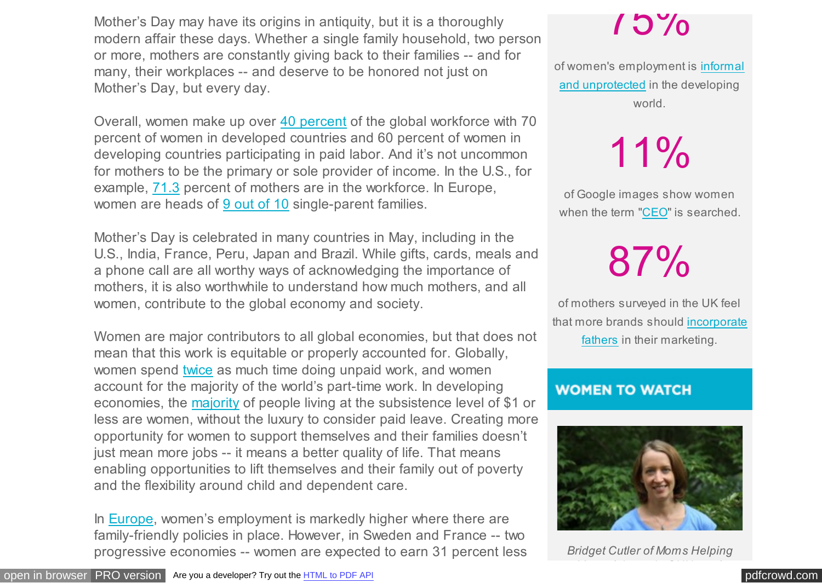Mother's Day may have its origins in antiquity, but it is a thoroughly modern affair these days. Whether a single family household, two person or more, mothers are constantly giving back to their families -- and for many, their workplaces -- and deserve to be honored not just on Mother's Day, but every day.

Overall, women make up over [40 percent](http://www.ilo.org/wcmsp5/groups/public/---dgreports/---dcomm/documents/publication/wcms_067595.pdf) of the global workforce with 70 percent of women in developed countries and 60 percent of women in developing countries participating in paid labor. And it's not uncommon for mothers to be the primary or sole provider of income. In the U.S., for example, [71.3](http://www.naccrra.org/sites/default/files/default_site_pages/2012/ccgb_mothers_workforce_jan2012.pdf) percent of mothers are in the workforce. In Europe, women are heads of [9 out of 10](http://wbl.worldbank.org/topic-analysis/infographwomenemployment) single-parent families.

Mother's Day is celebrated in many countries in May, including in the U.S., India, France, Peru, Japan and Brazil. While gifts, cards, meals and a phone call are all worthy ways of acknowledging the importance of mothers, it is also worthwhile to understand how much mothers, and all women, contribute to the global economy and society.

Women are major contributors to all global economies, but that does not mean that this work is equitable or properly accounted for. Globally, women spend [twice](http://www.ilo.org/wcmsp5/groups/public/---dgreports/---dcomm/documents/publication/wcms_067595.pdf) as much time doing unpaid work, and women account for the majority of the world's part-time work. In developing economies, the [majority](http://www.ilo.org/wcmsp5/groups/public/---dgreports/---dcomm/documents/publication/wcms_067595.pdf) of people living at the subsistence level of \$1 or less are women, without the luxury to consider paid leave. Creating more opportunity for women to support themselves and their families doesn't just mean more jobs -- it means a better quality of life. That means enabling opportunities to lift themselves and their family out of poverty and the flexibility around child and dependent care.

In [Europe,](http://progress.unwomen.org/en/2015/) women's employment is markedly higher where there are family-friendly policies in place. However, in Sweden and France -- two progressive economies -- women are expected to earn 31 percent less

# 75%

[of women's employment is informal](http://progress.unwomen.org/en/2015/) and unprotected in the developing world.

11%

of Google images show women when the term ["CEO"](http://www.washingtonpost.com/blogs/wonkblog/wp/2015/04/14/what-one-simple-google-search-tells-us-about-how-we-view-working-women/) is searched.

87%

of mothers surveyed in the UK feel that [more brands should incorporate](http://she-conomy.com/wp-content/uploads/2015/05/Moms-Marketing1.jpg) fathers in their marketing.

#### **WOMEN TO WATCH**



*Bridget Cutler of Moms Helping Moms (photo via CNN.com)*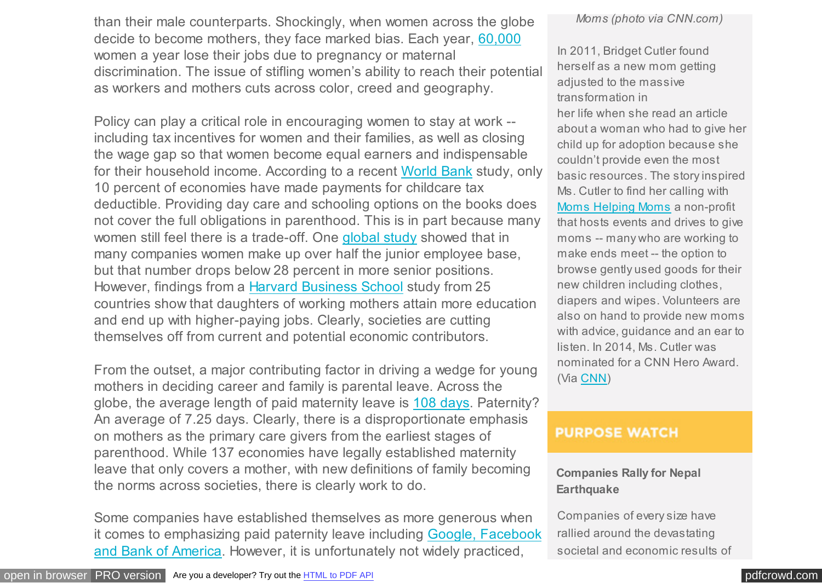than their male counterparts. Shockingly, when women across the globe decide to become mothers, they face marked bias. Each year, [60,000](http://www.theguardian.com/women-in-leadership/2015/may/12/pregnant-but-screwed-the-truth-about-workplace-discrimination) women a year lose their jobs due to pregnancy or maternal discrimination. The issue of stifling women's ability to reach their potential as workers and mothers cuts across color, creed and geography.

Policy can play a critical role in encouraging women to stay at work - including tax incentives for women and their families, as well as closing the wage gap so that women become equal earners and indispensable for their household income. According to a recent [World Bank](http://wbl.worldbank.org/topic-analysis/infographwomenemployment) study, only 10 percent of economies have made payments for childcare tax deductible. Providing day care and schooling options on the books does not cover the full obligations in parenthood. This is in part because many women still feel there is a trade-off. One [global study](http://www.goldmansachs.com/our-thinking/investing-in-women/research-articles/womens-work.pdf) showed that in many companies women make up over half the junior employee base, but that number drops below 28 percent in more senior positions. However, findings from a [Harvard Business School](http://www.nytimes.com/2015/05/17/upshot/mounting-evidence-of-some-advantages-for-children-of-working-mothers.html?abt=0002&abg=0&_r=0) study from 25 countries show that daughters of working mothers attain more education and end up with higher-paying jobs. Clearly, societies are cutting themselves off from current and potential economic contributors.

From the outset, a major contributing factor in driving a wedge for young mothers in deciding career and family is parental leave. Across the globe, the average length of paid maternity leave is [108 days.](http://wbl.worldbank.org/topic-analysis/infographwomenemployment) Paternity? An average of 7.25 days. Clearly, there is a disproportionate emphasis on mothers as the primary care givers from the earliest stages of parenthood. While 137 economies have legally established maternity leave that only covers a mother, with new definitions of family becoming the norms across societies, there is clearly work to do.

Some companies have established themselves as more generous when [it comes to emphasizing paid paternity leave including Google, Facebook](http://www.bloomberg.com/news/articles/2015-04-30/the-10-u-s-companies-with-the-best-paternity-leave-benefits) and Bank of America. However, it is unfortunately not widely practiced,

*Moms (photo via CNN.com)*

In 2011, Bridget Cutler found herself as a new mom getting adjusted to the massive transformation in her life when she read an article about a woman who had to give her child up for adoption because she couldn't provide even the most basic resources. The story inspired Ms. Cutler to find her calling with [Moms Helping Moms](http://www.momshelpingmomsfoundation.org/) a non-profit that hosts events and drives to give moms -- many who are working to make ends meet -- the option to browse gently used goods for their new children including clothes, diapers and wipes. Volunteers are also on hand to provide new moms with advice, guidance and an ear to listen. In 2014, Ms. Cutler was nominated for a CNN Hero Award. (Via [CNN\)](http://www.cnn.com/2014/09/25/living/cnnheroes-cutler/)

#### **PURPOSE WATCH**

#### **Companies Rally for Nepal Earthquake**

Companies of every size have rallied around the devastating societal and economic results of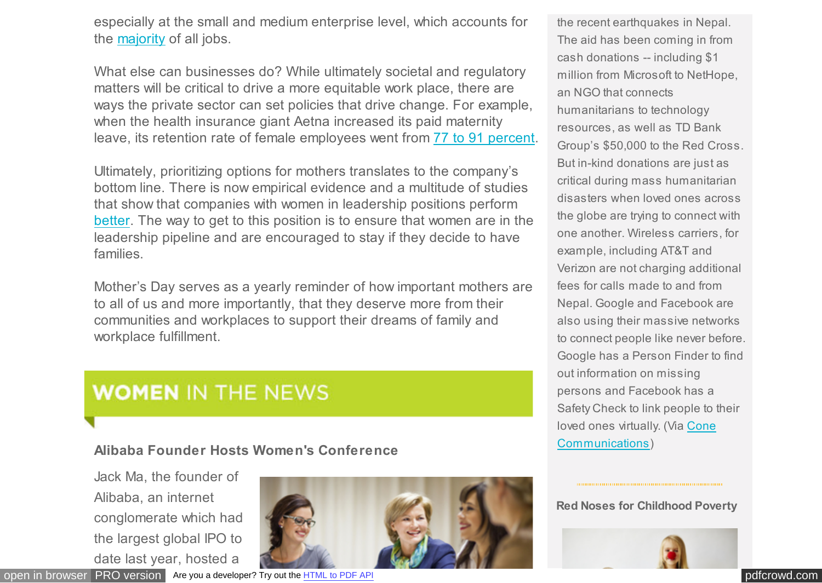especially at the small and medium enterprise level, which accounts for the [majority](http://www.ifc.org/wps/wcm/connect/409734804c561178926edaf12db12449/TOS_SME.pdf?MOD=AJPERES) of all jobs.

What else can businesses do? While ultimately societal and regulatory matters will be critical to drive a more equitable work place, there are ways the private sector can set policies that drive change. For example, when the health insurance giant Aetna increased its paid maternity leave, its retention rate of female employees went from [77 to 91 percent.](http://www.forbes.com/fdc/welcome_mjx.shtml)

Ultimately, prioritizing options for mothers translates to the company's bottom line. There is now empirical evidence and a multitude of studies that show that companies with women in leadership positions perform [better.](http://qz.com/361602/companies-run-by-women-perform-better/) The way to get to this position is to ensure that women are in the leadership pipeline and are encouraged to stay if they decide to have families.

Mother's Day serves as a yearly reminder of how important mothers are to all of us and more importantly, that they deserve more from their communities and workplaces to support their dreams of family and workplace fulfillment.

## **WOMEN IN THE NEWS**

#### **Alibaba Founder Hosts Women's Conference**

Jack Ma, the founder of Alibaba, an internet conglomerate which had the largest global IPO to date last year, hosted a



[open in browser](http://pdfcrowd.com/redirect/?url=https%3a%2f%2ft.e2ma.net%2fwebview%2fx2fur%2ff9e3289a9a2258cde33cb44fa9f049de&id=ma-150601105054-5b4c722a) [PRO version](http://pdfcrowd.com/customize/) Are you a developer? Try out th[e HTML to PDF API](http://pdfcrowd.com/html-to-pdf-api/?ref=pdf) [pdfcrowd.com](http://pdfcrowd.com)

the recent earthquakes in Nepal. The aid has been coming in from cash donations -- including \$1 million from Microsoft to NetHope, an NGO that connects humanitarians to technology resources, as well as TD Bank Group's \$50,000 to the Red Cross. But in-kind donations are just as critical during mass humanitarian disasters when loved ones across the globe are trying to connect with one another. Wireless carriers, for example, including AT&T and Verizon are not charging additional fees for calls made to and from Nepal. Google and Facebook are also using their massive networks to connect people like never before. Google has a Person Finder to find out information on missing persons and Facebook has a Safety Check to link people to their [loved ones virtually. \(Via Cone](http://www.conecomm.com/corporate-disaster-relief-nepal-earthquake) Communications)

#### **Red Noses for Childhood Poverty**

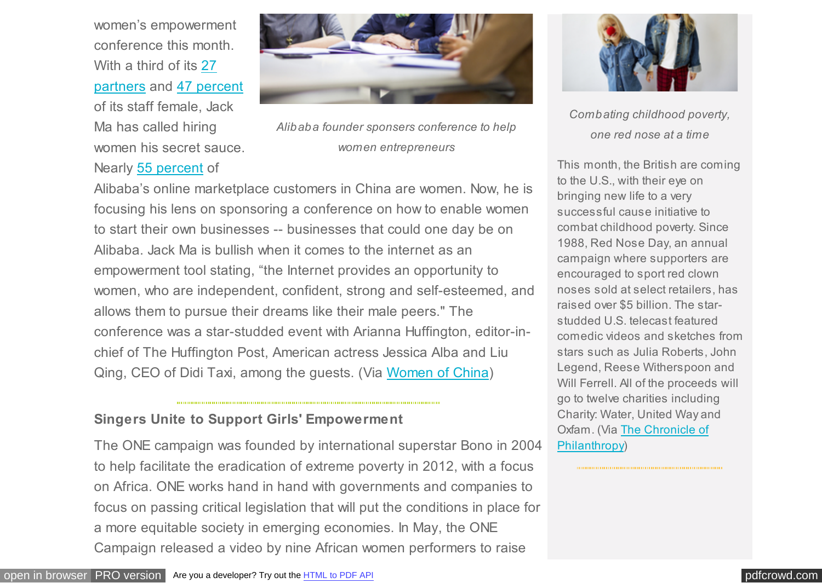women's empowerment conference this month. With a third of its 27 [partners and](http://money.cnn.com/2014/06/18/technology/alibaba-gender-diversity/) [47 percent](http://www.cnbc.com/id/102363662) of its staff female, Jack Ma has called hiring women his secret sauce. Nearly [55 percent](http://www.womenofchina.cn/womenofchina/html1/news/china/1505/1185-1.htm) of



*Alibaba founder sponsers conference to help women entrepreneurs*

Alibaba's online marketplace customers in China are women. Now, he is focusing his lens on sponsoring a conference on how to enable women to start their own businesses -- businesses that could one day be on Alibaba. Jack Ma is bullish when it comes to the internet as an empowerment tool stating, "the Internet provides an opportunity to women, who are independent, confident, strong and self-esteemed, and allows them to pursue their dreams like their male peers." The conference was a star-studded event with Arianna Huffington, editor-inchief of The Huffington Post, American actress Jessica Alba and Liu Qing, CEO of Didi Taxi, among the guests. (Via [Women of China\)](http://www.womenofchina.cn/womenofchina/html1/news/china/1505/1185-1.htm)

#### **Singers Unite to Support Girls' Empowerment**

The ONE campaign was founded by international superstar Bono in 2004 to help facilitate the eradication of extreme poverty in 2012, with a focus on Africa. ONE works hand in hand with governments and companies to focus on passing critical legislation that will put the conditions in place for a more equitable society in emerging economies. In May, the ONE Campaign released a video by nine African women performers to raise



*Combating childhood poverty, one red nose at a time*

This month, the British are coming to the U.S., with their eye on bringing new life to a very successful cause initiative to combat childhood poverty. Since 1988, Red Nose Day, an annual campaign where supporters are encouraged to sport red clown noses sold at select retailers, has raised over \$5 billion. The starstudded U.S. telecast featured comedic videos and sketches from stars such as Julia Roberts, John Legend, Reese Witherspoon and Will Ferrell. All of the proceeds will go to twelve charities including Charity: Water, United Way and [Oxfam. \(Via The Chronicle of](http://www.conecomm.com/corporate-disaster-relief-nepal-earthquake) Philanthropy)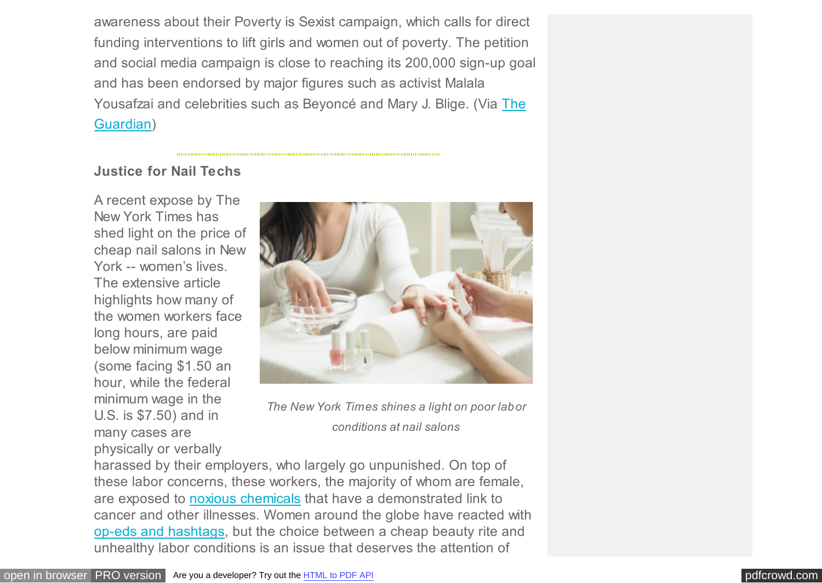awareness about their Poverty is Sexist campaign, which calls for direct funding interventions to lift girls and women out of poverty. The petition and social media campaign is close to reaching its 200,000 sign-up goal and has been endorsed by major figures such as activist Malala [Yousafzai and celebrities such as Beyoncé and Mary J. Blige. \(Via The](http://www.theguardian.com/global-development/2015/may/13/strong-girl-one-campaign-song-women-girls-sustainable-development) Guardian)

#### **Justice for Nail Techs**

A recent expose by The New York Times has shed light on the price of cheap nail salons in New York -- women's lives. The extensive article highlights how many of the women workers face long hours, are paid below minimum wage (some facing \$1.50 an hour, while the federal minimum wage in the U.S. is \$7.50) and in many cases are physically or verbally



*The New York Times shines a light on poor labor conditions at nail salons*

harassed by their employers, who largely go unpunished. On top of these labor concerns, these workers, the majority of whom are female, are exposed to [noxious chemicals](http://www.nytimes.com/2015/05/11/nyregion/nail-salon-workers-in-nyc-face-hazardous-chemicals.html) that have a demonstrated link to cancer and other illnesses. Women around the globe have reacted with [op-eds and hashtags,](http://www.nytimes.com/2015/05/14/fashion/at-nail-salons-questioning-a-beauty-rite.html?ref=fashion&_r=0) but the choice between a cheap beauty rite and unhealthy labor conditions is an issue that deserves the attention of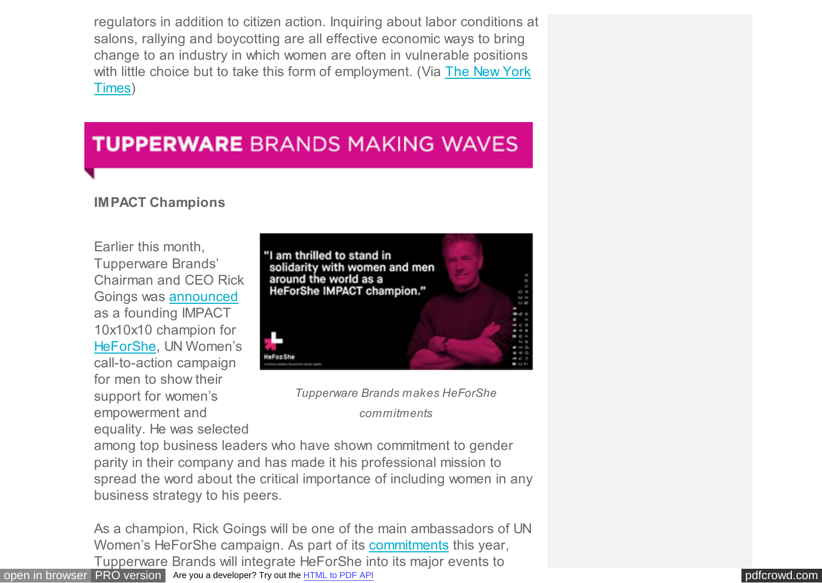regulators in addition to citizen action. Inquiring about labor conditions at salons, rallying and boycotting are all effective economic ways to bring change to an industry in which women are often in vulnerable positions [with little choice but to take this form of employment. \(Via The New York](http://www.nytimes.com/2015/05/10/nyregion/at-nail-salons-in-nyc-manicurists-are-underpaid-and-unprotected.html) Times)

### **TUPPERWARE BRANDS MAKING WAVES**

#### **IMPACT Champions**

Earlier this month, Tupperware Brands' Chairman and CEO Rick Goings was [announced](http://www.unwomen.org/en/news/stories/2015/5/five-new-companies-and-five-new-universities-join-impact-10x10x10) as a founding IMPACT 10x10x10 champion for [HeForShe,](http://www.heforshe.org/) UN Women's call-to-action campaign for men to show their support for women's empowerment and equality. He was selected





*commitments*

among top business leaders who have shown commitment to gender parity in their company and has made it his professional mission to spread the word about the critical importance of including women in any business strategy to his peers.

[open in browser](http://pdfcrowd.com/redirect/?url=https%3a%2f%2ft.e2ma.net%2fwebview%2fx2fur%2ff9e3289a9a2258cde33cb44fa9f049de&id=ma-150601105054-5b4c722a) [PRO version](http://pdfcrowd.com/customize/) Are you a developer? Try out th[e HTML to PDF API](http://pdfcrowd.com/html-to-pdf-api/?ref=pdf) [pdfcrowd.com](http://pdfcrowd.com) As a champion, Rick Goings will be one of the main ambassadors of UN Women's HeForShe campaign. As part of its [commitments](http://www.heforshe.org/impact/rick-goings/) this year, Tupperware Brands will integrate HeForShe into its major events to